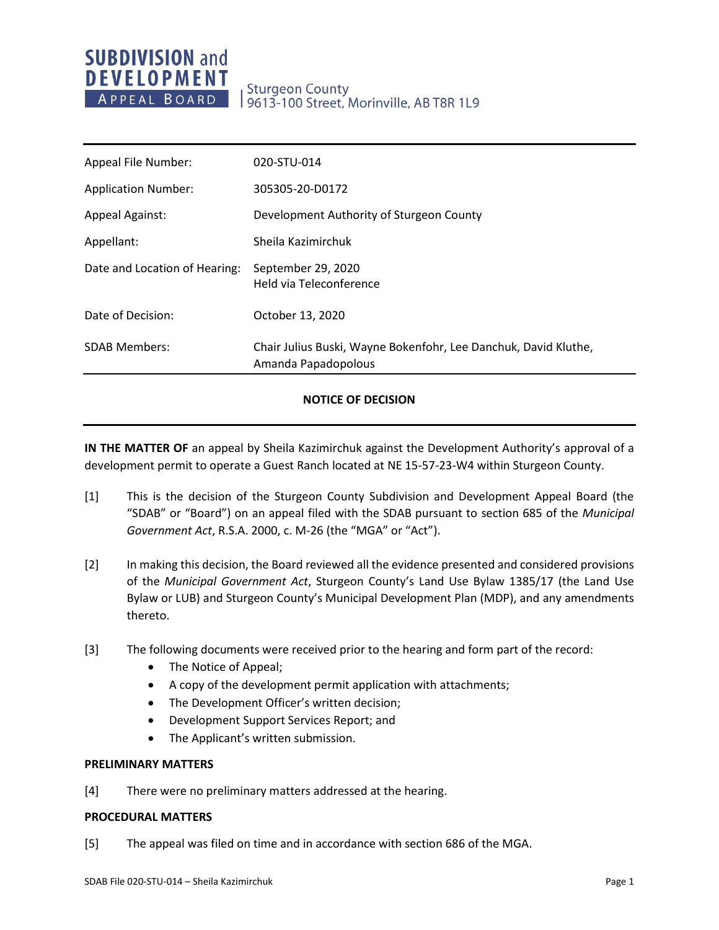## **SUBDIVISION and DEVELOPMENT** APPEAL BOARD

# Sturgeon County<br>| 9613-100 Street, Morinville, AB T8R 1L9

| Appeal File Number:           | 020-STU-014                                                                            |
|-------------------------------|----------------------------------------------------------------------------------------|
| <b>Application Number:</b>    | 305305-20-D0172                                                                        |
| <b>Appeal Against:</b>        | Development Authority of Sturgeon County                                               |
| Appellant:                    | Sheila Kazimirchuk                                                                     |
| Date and Location of Hearing: | September 29, 2020<br>Held via Teleconference                                          |
| Date of Decision:             | October 13, 2020                                                                       |
| <b>SDAB Members:</b>          | Chair Julius Buski, Wayne Bokenfohr, Lee Danchuk, David Kluthe,<br>Amanda Papadopolous |
|                               |                                                                                        |

#### **NOTICE OF DECISION**

**IN THE MATTER OF** an appeal by Sheila Kazimirchuk against the Development Authority's approval of a development permit to operate a Guest Ranch located at NE 15-57-23-W4 within Sturgeon County.

- [1] This is the decision of the Sturgeon County Subdivision and Development Appeal Board (the "SDAB" or "Board") on an appeal filed with the SDAB pursuant to section 685 of the *Municipal Government Act*, R.S.A. 2000, c. M-26 (the "MGA" or "Act").
- [2] In making this decision, the Board reviewed all the evidence presented and considered provisions of the *Municipal Government Act*, Sturgeon County's Land Use Bylaw 1385/17 (the Land Use Bylaw or LUB) and Sturgeon County's Municipal Development Plan (MDP), and any amendments thereto.
- [3] The following documents were received prior to the hearing and form part of the record:
	- The Notice of Appeal;
	- A copy of the development permit application with attachments;
	- The Development Officer's written decision;
	- Development Support Services Report; and
	- The Applicant's written submission.

#### **PRELIMINARY MATTERS**

[4] There were no preliminary matters addressed at the hearing.

#### **PROCEDURAL MATTERS**

[5] The appeal was filed on time and in accordance with section 686 of the MGA.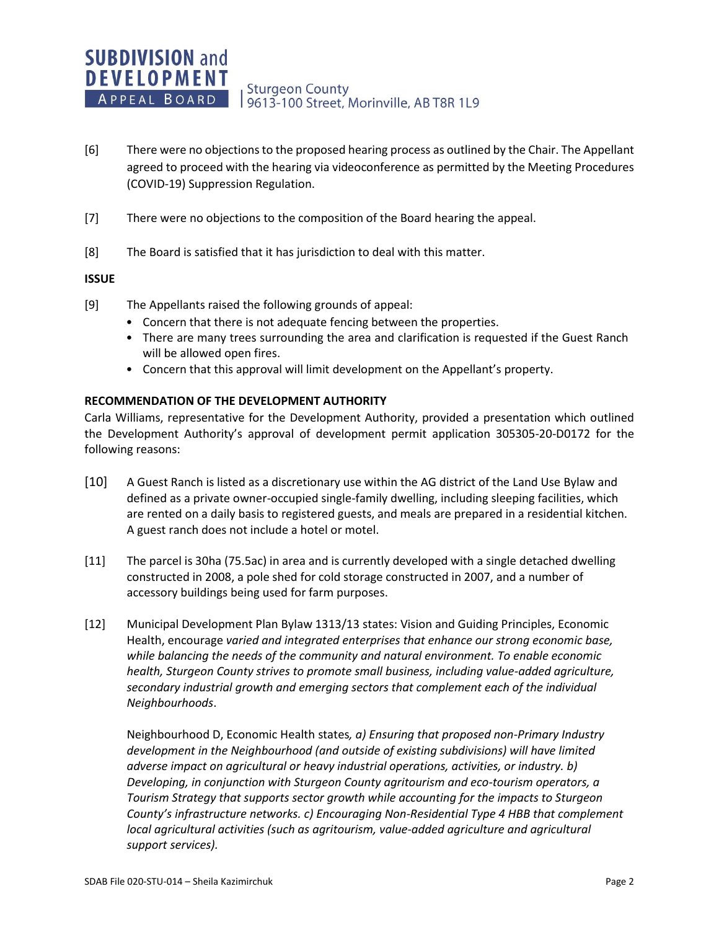- [6] There were no objections to the proposed hearing process as outlined by the Chair. The Appellant agreed to proceed with the hearing via videoconference as permitted by the Meeting Procedures (COVID-19) Suppression Regulation.
- [7] There were no objections to the composition of the Board hearing the appeal.
- [8] The Board is satisfied that it has jurisdiction to deal with this matter.

#### **ISSUE**

- [9] The Appellants raised the following grounds of appeal:
	- Concern that there is not adequate fencing between the properties.
	- There are many trees surrounding the area and clarification is requested if the Guest Ranch will be allowed open fires.
	- Concern that this approval will limit development on the Appellant's property.

#### **RECOMMENDATION OF THE DEVELOPMENT AUTHORITY**

Carla Williams, representative for the Development Authority, provided a presentation which outlined the Development Authority's approval of development permit application 305305-20-D0172 for the following reasons:

- [10] A Guest Ranch is listed as a discretionary use within the AG district of the Land Use Bylaw and defined as a private owner-occupied single-family dwelling, including sleeping facilities, which are rented on a daily basis to registered guests, and meals are prepared in a residential kitchen. A guest ranch does not include a hotel or motel.
- [11] The parcel is 30ha (75.5ac) in area and is currently developed with a single detached dwelling constructed in 2008, a pole shed for cold storage constructed in 2007, and a number of accessory buildings being used for farm purposes.
- [12] Municipal Development Plan Bylaw 1313/13 states: Vision and Guiding Principles, Economic Health, encourage *varied and integrated enterprises that enhance our strong economic base, while balancing the needs of the community and natural environment. To enable economic health, Sturgeon County strives to promote small business, including value-added agriculture, secondary industrial growth and emerging sectors that complement each of the individual Neighbourhoods*.

Neighbourhood D, Economic Health states*, a) Ensuring that proposed non-Primary Industry development in the Neighbourhood (and outside of existing subdivisions) will have limited adverse impact on agricultural or heavy industrial operations, activities, or industry. b) Developing, in conjunction with Sturgeon County agritourism and eco-tourism operators, a Tourism Strategy that supports sector growth while accounting for the impacts to Sturgeon County's infrastructure networks. c) Encouraging Non-Residential Type 4 HBB that complement*  local agricultural activities (such as agritourism, value-added agriculture and agricultural *support services).*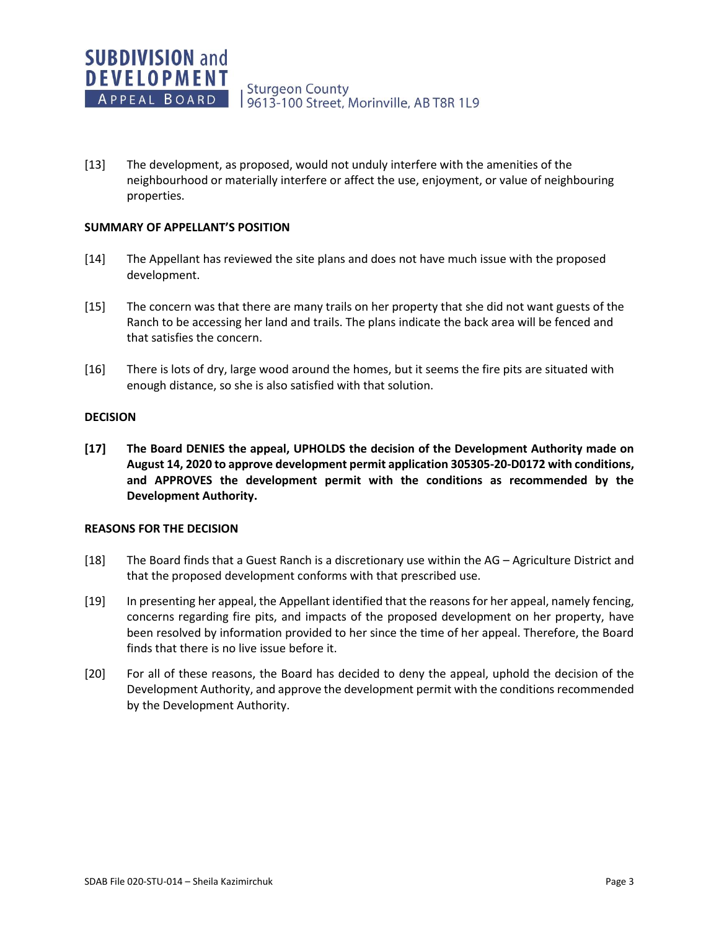[13] The development, as proposed, would not unduly interfere with the amenities of the neighbourhood or materially interfere or affect the use, enjoyment, or value of neighbouring properties.

#### **SUMMARY OF APPELLANT'S POSITION**

- [14] The Appellant has reviewed the site plans and does not have much issue with the proposed development.
- [15] The concern was that there are many trails on her property that she did not want guests of the Ranch to be accessing her land and trails. The plans indicate the back area will be fenced and that satisfies the concern.
- [16] There is lots of dry, large wood around the homes, but it seems the fire pits are situated with enough distance, so she is also satisfied with that solution.

#### **DECISION**

**[17] The Board DENIES the appeal, UPHOLDS the decision of the Development Authority made on August 14, 2020 to approve development permit application 305305-20-D0172 with conditions, and APPROVES the development permit with the conditions as recommended by the Development Authority.**

#### **REASONS FOR THE DECISION**

- [18] The Board finds that a Guest Ranch is a discretionary use within the AG Agriculture District and that the proposed development conforms with that prescribed use.
- [19] In presenting her appeal, the Appellant identified that the reasons for her appeal, namely fencing, concerns regarding fire pits, and impacts of the proposed development on her property, have been resolved by information provided to her since the time of her appeal. Therefore, the Board finds that there is no live issue before it.
- [20] For all of these reasons, the Board has decided to deny the appeal, uphold the decision of the Development Authority, and approve the development permit with the conditions recommended by the Development Authority.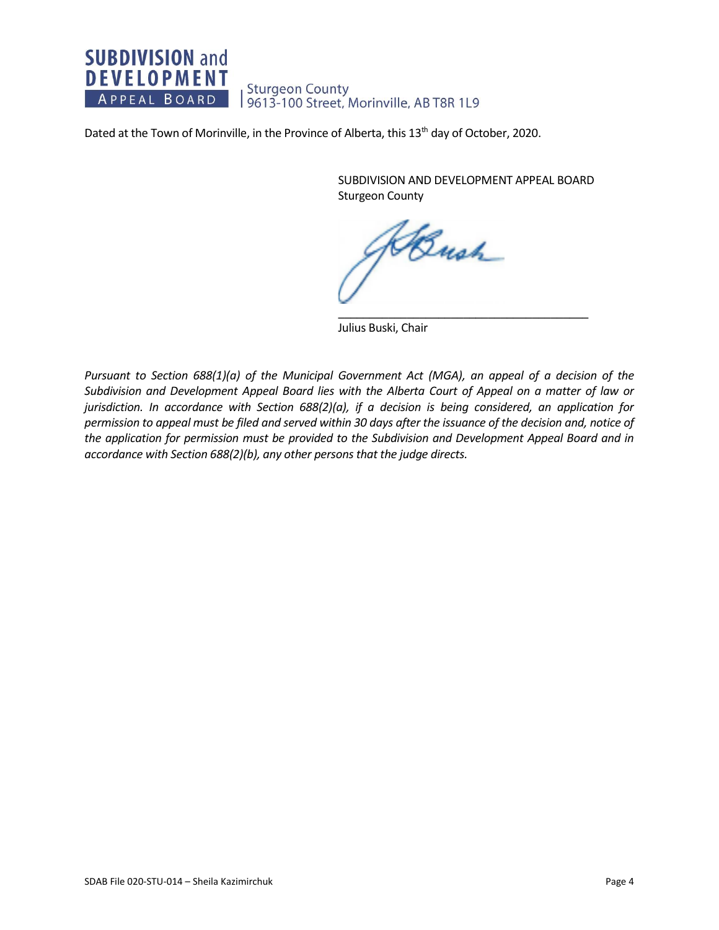## **SUBDIVISION and DEVELOPMENT** Sturgeon County<br>| 9613-100 Street, Morinville, AB T8R 1L9 APPEAL BOARD

Dated at the Town of Morinville, in the Province of Alberta, this 13<sup>th</sup> day of October, 2020.

SUBDIVISION AND DEVELOPMENT APPEAL BOARD Sturgeon County

\_\_\_\_\_\_\_\_\_\_\_\_\_\_\_\_\_\_\_\_\_\_\_\_\_\_\_\_\_\_\_\_\_\_\_\_\_\_\_\_

Bush

Julius Buski, Chair

*Pursuant to Section 688(1)(a) of the Municipal Government Act (MGA), an appeal of a decision of the Subdivision and Development Appeal Board lies with the Alberta Court of Appeal on a matter of law or jurisdiction. In accordance with Section 688(2)(a), if a decision is being considered, an application for permission to appeal must be filed and served within 30 days after the issuance of the decision and, notice of the application for permission must be provided to the Subdivision and Development Appeal Board and in accordance with Section 688(2)(b), any other persons that the judge directs.*